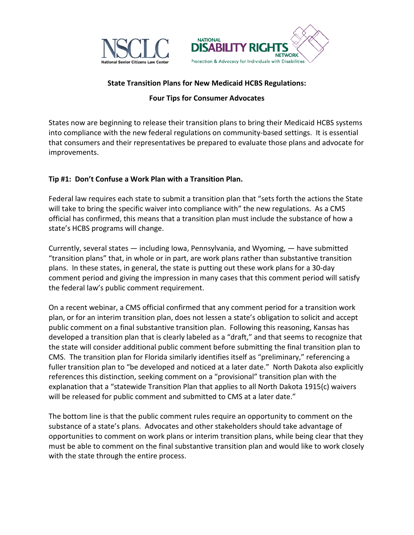



## **State Transition Plans for New Medicaid HCBS Regulations:**

## **Four Tips for Consumer Advocates**

States now are beginning to release their transition plans to bring their Medicaid HCBS systems into compliance with the new federal regulations on community-based settings. It is essential that consumers and their representatives be prepared to evaluate those plans and advocate for improvements.

## **Tip #1: Don't Confuse a Work Plan with a Transition Plan.**

Federal law requires each state to submit a transition plan that "sets forth the actions the State will take to bring the specific waiver into compliance with" the new regulations. As a CMS official has confirmed, this means that a transition plan must include the substance of how a state's HCBS programs will change.

Currently, several states — including Iowa, Pennsylvania, and Wyoming, — have submitted "transition plans" that, in whole or in part, are work plans rather than substantive transition plans. In these states, in general, the state is putting out these work plans for a 30-day comment period and giving the impression in many cases that this comment period will satisfy the federal law's public comment requirement.

On a recent webinar, a CMS official confirmed that any comment period for a transition work plan, or for an interim transition plan, does not lessen a state's obligation to solicit and accept public comment on a final substantive transition plan. Following this reasoning, Kansas has developed a transition plan that is clearly labeled as a "draft," and that seems to recognize that the state will consider additional public comment before submitting the final transition plan to CMS. The transition plan for Florida similarly identifies itself as "preliminary," referencing a fuller transition plan to "be developed and noticed at a later date." North Dakota also explicitly references this distinction, seeking comment on a "provisional" transition plan with the explanation that a "statewide Transition Plan that applies to all North Dakota 1915(c) waivers will be released for public comment and submitted to CMS at a later date."

The bottom line is that the public comment rules require an opportunity to comment on the substance of a state's plans. Advocates and other stakeholders should take advantage of opportunities to comment on work plans or interim transition plans, while being clear that they must be able to comment on the final substantive transition plan and would like to work closely with the state through the entire process.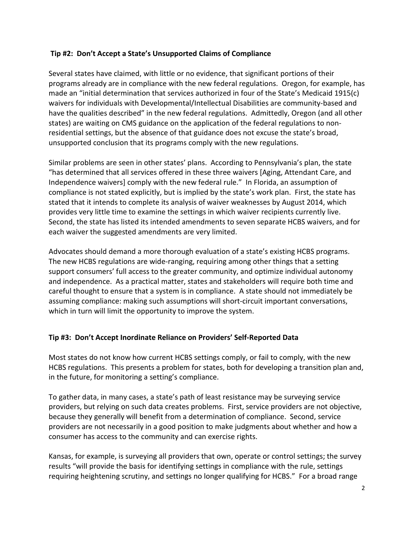## **Tip #2: Don't Accept a State's Unsupported Claims of Compliance**

Several states have claimed, with little or no evidence, that significant portions of their programs already are in compliance with the new federal regulations. Oregon, for example, has made an "initial determination that services authorized in four of the State's Medicaid 1915(c) waivers for individuals with Developmental/Intellectual Disabilities are community-based and have the qualities described" in the new federal regulations. Admittedly, Oregon (and all other states) are waiting on CMS guidance on the application of the federal regulations to nonresidential settings, but the absence of that guidance does not excuse the state's broad, unsupported conclusion that its programs comply with the new regulations.

Similar problems are seen in other states' plans. According to Pennsylvania's plan, the state "has determined that all services offered in these three waivers [Aging, Attendant Care, and Independence waivers] comply with the new federal rule." In Florida, an assumption of compliance is not stated explicitly, but is implied by the state's work plan. First, the state has stated that it intends to complete its analysis of waiver weaknesses by August 2014, which provides very little time to examine the settings in which waiver recipients currently live. Second, the state has listed its intended amendments to seven separate HCBS waivers, and for each waiver the suggested amendments are very limited.

Advocates should demand a more thorough evaluation of a state's existing HCBS programs. The new HCBS regulations are wide-ranging, requiring among other things that a setting support consumers' full access to the greater community, and optimize individual autonomy and independence. As a practical matter, states and stakeholders will require both time and careful thought to ensure that a system is in compliance. A state should not immediately be assuming compliance: making such assumptions will short-circuit important conversations, which in turn will limit the opportunity to improve the system.

# **Tip #3: Don't Accept Inordinate Reliance on Providers' Self-Reported Data**

Most states do not know how current HCBS settings comply, or fail to comply, with the new HCBS regulations. This presents a problem for states, both for developing a transition plan and, in the future, for monitoring a setting's compliance.

To gather data, in many cases, a state's path of least resistance may be surveying service providers, but relying on such data creates problems. First, service providers are not objective, because they generally will benefit from a determination of compliance. Second, service providers are not necessarily in a good position to make judgments about whether and how a consumer has access to the community and can exercise rights.

Kansas, for example, is surveying all providers that own, operate or control settings; the survey results "will provide the basis for identifying settings in compliance with the rule, settings requiring heightening scrutiny, and settings no longer qualifying for HCBS." For a broad range